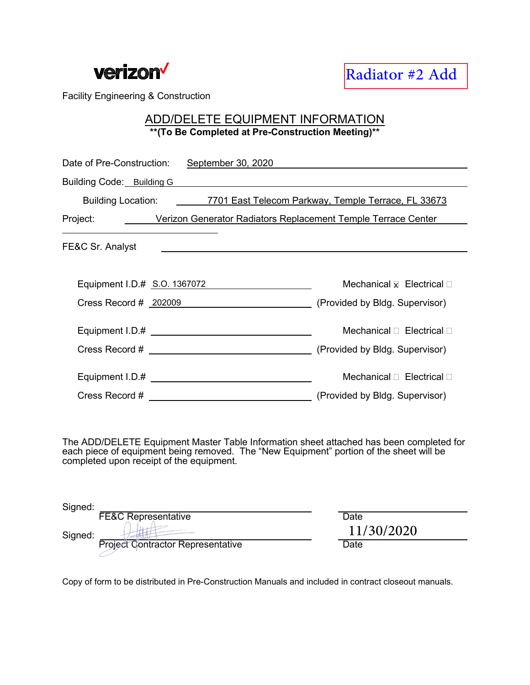

## ADD/DELETE EQUIPMENT INFORMATION **\*\*(To Be Completed at Pre-Construction Meeting)\*\***

| Date of Pre-Construction: September 30, 2020                                   |                                          |  |
|--------------------------------------------------------------------------------|------------------------------------------|--|
| Building Code: Building G <b>Example 2018</b>                                  |                                          |  |
| Building Location: ________7701 East Telecom Parkway, Temple Terrace, FL 33673 |                                          |  |
| Project: Verizon Generator Radiators Replacement Temple Terrace Center         |                                          |  |
| FE&C Sr. Analyst                                                               |                                          |  |
|                                                                                |                                          |  |
| Equipment I.D.# S.O. 1367072                                                   | Mechanical $\boxtimes$ Electrical $\Box$ |  |
| Cress Record # 202009 (Provided by Bldg. Supervisor)                           |                                          |  |
|                                                                                | Mechanical $\Box$ Electrical $\Box$      |  |
|                                                                                |                                          |  |
|                                                                                | Mechanical $\Box$ Electrical $\Box$      |  |
|                                                                                | (Provided by Bldg. Supervisor)           |  |

The ADD/DELETE Equipment Master Table Information sheet attached has been completed for each piece of equipment being removed. The "New Equipment" portion of the sheet will be completed upon receipt of the equipment.

| Signed: |                                          |            |
|---------|------------------------------------------|------------|
|         | <b>FE&amp;C Representative</b>           | Date       |
| Signed: |                                          | 11/30/2020 |
|         | <b>Project Contractor Representative</b> | Date       |
|         |                                          |            |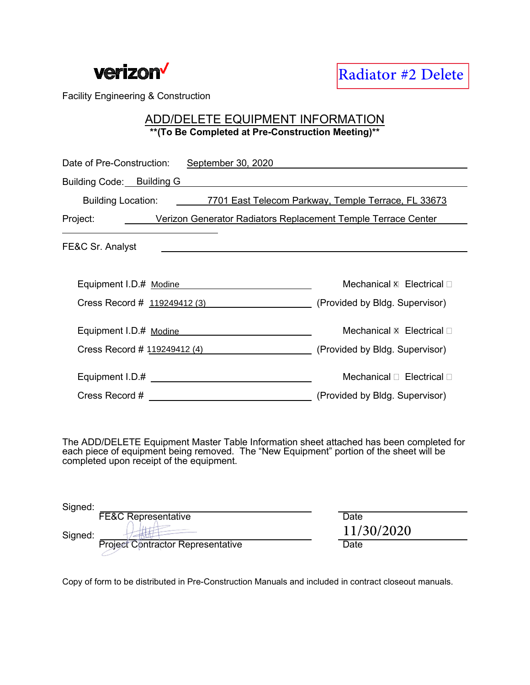

## ADD/DELETE EQUIPMENT INFORMATION **\*\*(To Be Completed at Pre-Construction Meeting)\*\***

| <b>verizon'</b>                                 | <b>Radiator #2 Delete</b>                                                              |
|-------------------------------------------------|----------------------------------------------------------------------------------------|
| <b>Facility Engineering &amp; Construction</b>  |                                                                                        |
|                                                 | ADD/DELETE EQUIPMENT INFORMATION<br>** (To Be Completed at Pre-Construction Meeting)** |
| Date of Pre-Construction:<br>September 30, 2020 |                                                                                        |
| Building Code: Building G                       |                                                                                        |
|                                                 | Building Location: ________7701 East Telecom Parkway, Temple Terrace, FL 33673         |
| Project:                                        | <b>Solution Verizon Generator Radiators Replacement Temple Terrace Center</b>          |
| FE&C Sr. Analyst                                |                                                                                        |
| Equipment I.D.# Modine                          | Mechanical <b>x</b> Electrical □                                                       |
| Cress Record # 119249412 (3)                    | (Provided by Bldg. Supervisor)                                                         |
| Equipment I.D.# Modine                          | Mechanical $x$ Electrical $\Box$                                                       |
|                                                 | Cress Record # 119249412 (4) (Provided by Bldg. Supervisor)                            |
|                                                 | Mechanical □ Electrical □                                                              |
| Cress Record #                                  | (Provided by Bldg. Supervisor)                                                         |

The ADD/DELETE Equipment Master Table Information sheet attached has been completed for each piece of equipment being removed. The "New Equipment" portion of the sheet will be completed upon receipt of the equipment.

| Signed: |                                          |            |
|---------|------------------------------------------|------------|
|         | <b>FE&amp;C Representative</b>           | Date       |
| Signed: |                                          | 11/30/2020 |
|         | <b>Project Contractor Representative</b> | Date       |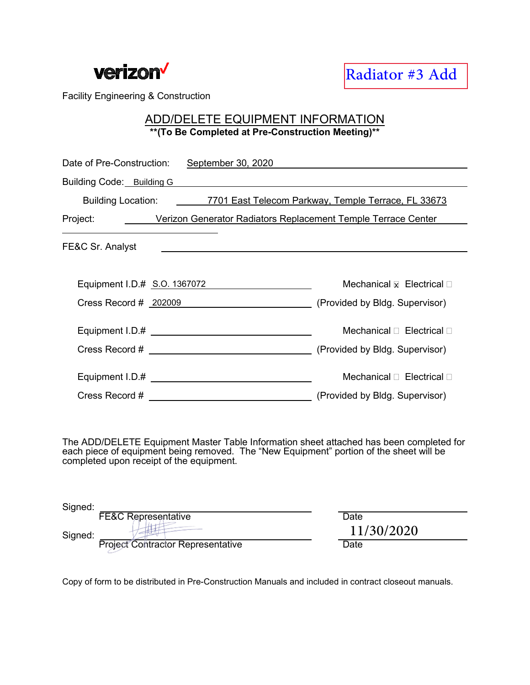

## ADD/DELETE EQUIPMENT INFORMATION **\*\*(To Be Completed at Pre-Construction Meeting)\*\***

| Date of Pre-Construction:<br>September 30, 2020                                |                                        |  |
|--------------------------------------------------------------------------------|----------------------------------------|--|
| Building Code: Building G                                                      |                                        |  |
| Building Location: ________7701 East Telecom Parkway, Temple Terrace, FL 33673 |                                        |  |
| Project: <b>Werizon Generator Radiators Replacement Temple Terrace Center</b>  |                                        |  |
| FE&C Sr. Analyst                                                               |                                        |  |
|                                                                                |                                        |  |
| Equipment I.D.# S.O. 1367072                                                   | Mechanical $\bar{x}$ Electrical $\Box$ |  |
| Cress Record # 202009 (Provided by Bldg. Supervisor)                           |                                        |  |
|                                                                                | Mechanical <b>D</b> Electrical D       |  |
| Cress Record # (Provided by Bldg. Supervisor)                                  |                                        |  |
|                                                                                | Mechanical <sub>D</sub> Electrical D   |  |
| Cress Record # <u>________________________</u>                                 | (Provided by Bldg. Supervisor)         |  |

The ADD/DELETE Equipment Master Table Information sheet attached has been completed for each piece of equipment being removed. The "New Equipment" portion of the sheet will be completed upon receipt of the equipment.

| Signed: |                                          |            |
|---------|------------------------------------------|------------|
|         | <b>FE&amp;C Representative</b>           | Date       |
| Signed: |                                          | 11/30/2020 |
|         | <b>Project Contractor Representative</b> | Date       |